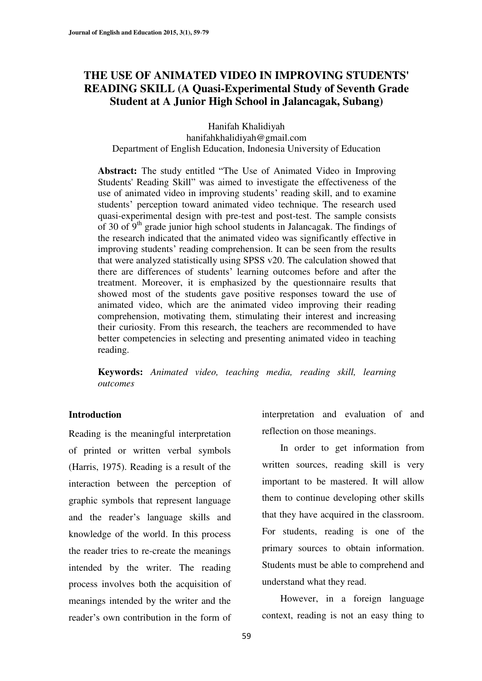## **THE USE OF ANIMATED VIDEO IN IMPROVING STUDENTS' READING SKILL (A Quasi-Experimental Study of Seventh Grade Student at A Junior High School in Jalancagak, Subang)**

Hanifah Khalidiyah hanifahkhalidiyah@gmail.com Department of English Education, Indonesia University of Education

Abstract: The study entitled "The Use of Animated Video in Improving Students' Reading Skill" was aimed to investigate the effectiveness of the use of animated video in improving students' reading skill, and to examine students' perception toward animated video technique. The research used quasi-experimental design with pre-test and post-test. The sample consists of 30 of  $9<sup>th</sup>$  grade junior high school students in Jalancagak. The findings of the research indicated that the animated video was significantly effective in improving students' reading comprehension. It can be seen from the results that were analyzed statistically using SPSS v20. The calculation showed that there are differences of students' learning outcomes before and after the treatment. Moreover, it is emphasized by the questionnaire results that showed most of the students gave positive responses toward the use of animated video, which are the animated video improving their reading comprehension, motivating them, stimulating their interest and increasing their curiosity. From this research, the teachers are recommended to have better competencies in selecting and presenting animated video in teaching reading.

**Keywords:** *Animated video, teaching media, reading skill, learning outcomes*

#### **Introduction**

Reading is the meaningful interpretation of printed or written verbal symbols (Harris, 1975). Reading is a result of the interaction between the perception of graphic symbols that represent language and the reader's language skills and knowledge of the world. In this process the reader tries to re-create the meanings intended by the writer. The reading process involves both the acquisition of meanings intended by the writer and the reader's own contribution in the form of

interpretation and evaluation of and reflection on those meanings.

In order to get information from written sources, reading skill is very important to be mastered. It will allow them to continue developing other skills that they have acquired in the classroom. For students, reading is one of the primary sources to obtain information. Students must be able to comprehend and understand what they read.

However, in a foreign language context, reading is not an easy thing to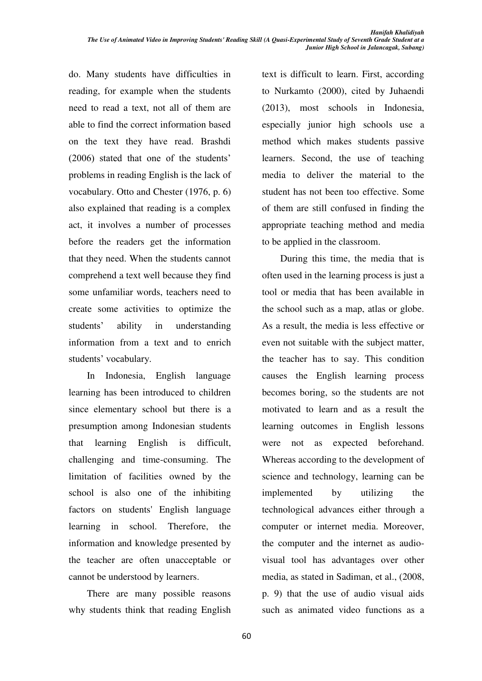do. Many students have difficulties in reading, for example when the students need to read a text, not all of them are able to find the correct information based on the text they have read. Brashdi  $(2006)$  stated that one of the students' problems in reading English is the lack of vocabulary. Otto and Chester (1976, p. 6) also explained that reading is a complex act, it involves a number of processes before the readers get the information that they need. When the students cannot comprehend a text well because they find some unfamiliar words, teachers need to create some activities to optimize the students' ability in understanding information from a text and to enrich students' vocabulary.

In Indonesia, English language learning has been introduced to children since elementary school but there is a presumption among Indonesian students that learning English is difficult, challenging and time-consuming. The limitation of facilities owned by the school is also one of the inhibiting factors on students' English language learning in school. Therefore, the information and knowledge presented by the teacher are often unacceptable or cannot be understood by learners.

There are many possible reasons why students think that reading English text is difficult to learn. First, according to Nurkamto (2000), cited by Juhaendi (2013), most schools in Indonesia, especially junior high schools use a method which makes students passive learners. Second, the use of teaching media to deliver the material to the student has not been too effective. Some of them are still confused in finding the appropriate teaching method and media to be applied in the classroom.

During this time, the media that is often used in the learning process is just a tool or media that has been available in the school such as a map, atlas or globe. As a result, the media is less effective or even not suitable with the subject matter, the teacher has to say. This condition causes the English learning process becomes boring, so the students are not motivated to learn and as a result the learning outcomes in English lessons were not as expected beforehand. Whereas according to the development of science and technology, learning can be implemented by utilizing the technological advances either through a computer or internet media. Moreover, the computer and the internet as audiovisual tool has advantages over other media, as stated in Sadiman, et al., (2008, p. 9) that the use of audio visual aids such as animated video functions as a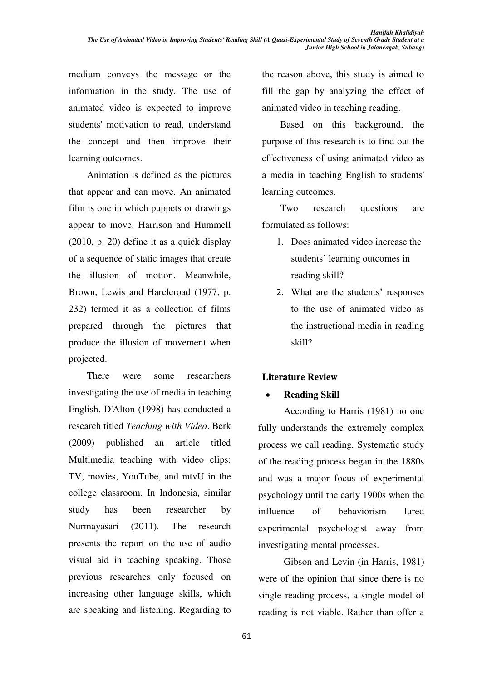medium conveys the message or the information in the study. The use of animated video is expected to improve students' motivation to read, understand the concept and then improve their learning outcomes.

Animation is defined as the pictures that appear and can move. An animated film is one in which puppets or drawings appear to move. Harrison and Hummell (2010, p. 20) define it as a quick display of a sequence of static images that create the illusion of motion. Meanwhile, Brown, Lewis and Harcleroad (1977, p. 232) termed it as a collection of films prepared through the pictures that produce the illusion of movement when projected.

There were some researchers investigating the use of media in teaching English. D'Alton (1998) has conducted a research titled *Teaching with Video*. Berk (2009) published an article titled Multimedia teaching with video clips: TV, movies, YouTube, and mtvU in the college classroom. In Indonesia, similar study has been researcher by Nurmayasari (2011). The research presents the report on the use of audio visual aid in teaching speaking. Those previous researches only focused on increasing other language skills, which are speaking and listening. Regarding to

the reason above, this study is aimed to fill the gap by analyzing the effect of animated video in teaching reading.

Based on this background, the purpose of this research is to find out the effectiveness of using animated video as a media in teaching English to students' learning outcomes.

Two research questions are formulated as follows:

- 1. Does animated video increase the students' learning outcomes in reading skill?
- 2. What are the students' responses to the use of animated video as the instructional media in reading skill?

## **Literature Review**

## x **Reading Skill**

 According to Harris (1981) no one fully understands the extremely complex process we call reading. Systematic study of the reading process began in the 1880s and was a major focus of experimental psychology until the early 1900s when the influence of behaviorism lured experimental psychologist away from investigating mental processes.

Gibson and Levin (in Harris, 1981) were of the opinion that since there is no single reading process, a single model of reading is not viable. Rather than offer a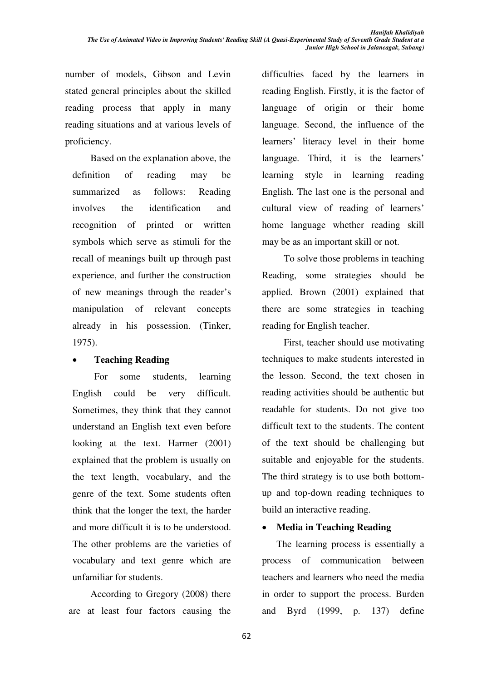number of models, Gibson and Levin stated general principles about the skilled reading process that apply in many reading situations and at various levels of proficiency.

Based on the explanation above, the definition of reading may be summarized as follows: Reading involves the identification and recognition of printed or written symbols which serve as stimuli for the recall of meanings built up through past experience, and further the construction of new meanings through the reader's manipulation of relevant concepts already in his possession. (Tinker, 1975).

## x **Teaching Reading**

For some students, learning English could be very difficult. Sometimes, they think that they cannot understand an English text even before looking at the text. Harmer (2001) explained that the problem is usually on the text length, vocabulary, and the genre of the text. Some students often think that the longer the text, the harder and more difficult it is to be understood. The other problems are the varieties of vocabulary and text genre which are unfamiliar for students.

According to Gregory (2008) there are at least four factors causing the difficulties faced by the learners in reading English. Firstly, it is the factor of language of origin or their home language. Second, the influence of the learners' literacy level in their home language. Third, it is the learners' learning style in learning reading English. The last one is the personal and cultural view of reading of learners' home language whether reading skill may be as an important skill or not.

To solve those problems in teaching Reading, some strategies should be applied. Brown (2001) explained that there are some strategies in teaching reading for English teacher.

First, teacher should use motivating techniques to make students interested in the lesson. Second, the text chosen in reading activities should be authentic but readable for students. Do not give too difficult text to the students. The content of the text should be challenging but suitable and enjoyable for the students. The third strategy is to use both bottomup and top-down reading techniques to build an interactive reading.

## x **Media in Teaching Reading**

The learning process is essentially a process of communication between teachers and learners who need the media in order to support the process. Burden and Byrd (1999, p. 137) define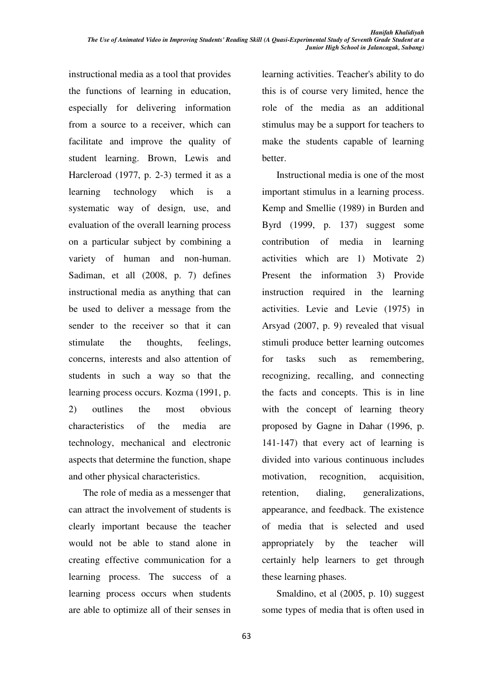instructional media as a tool that provides the functions of learning in education, especially for delivering information from a source to a receiver, which can facilitate and improve the quality of student learning. Brown, Lewis and Harcleroad (1977, p. 2-3) termed it as a learning technology which is a systematic way of design, use, and evaluation of the overall learning process on a particular subject by combining a variety of human and non-human. Sadiman, et all (2008, p. 7) defines instructional media as anything that can be used to deliver a message from the sender to the receiver so that it can stimulate the thoughts, feelings, concerns, interests and also attention of students in such a way so that the learning process occurs. Kozma (1991, p. 2) outlines the most obvious characteristics of the media are technology, mechanical and electronic aspects that determine the function, shape and other physical characteristics.

The role of media as a messenger that can attract the involvement of students is clearly important because the teacher would not be able to stand alone in creating effective communication for a learning process. The success of a learning process occurs when students are able to optimize all of their senses in learning activities. Teacher's ability to do this is of course very limited, hence the role of the media as an additional stimulus may be a support for teachers to make the students capable of learning better.

Instructional media is one of the most important stimulus in a learning process. Kemp and Smellie (1989) in Burden and Byrd (1999, p. 137) suggest some contribution of media in learning activities which are 1) Motivate 2) Present the information 3) Provide instruction required in the learning activities. Levie and Levie (1975) in Arsyad (2007, p. 9) revealed that visual stimuli produce better learning outcomes for tasks such as remembering, recognizing, recalling, and connecting the facts and concepts. This is in line with the concept of learning theory proposed by Gagne in Dahar (1996, p. 141-147) that every act of learning is divided into various continuous includes motivation, recognition, acquisition, retention, dialing, generalizations, appearance, and feedback. The existence of media that is selected and used appropriately by the teacher will certainly help learners to get through these learning phases.

Smaldino, et al (2005, p. 10) suggest some types of media that is often used in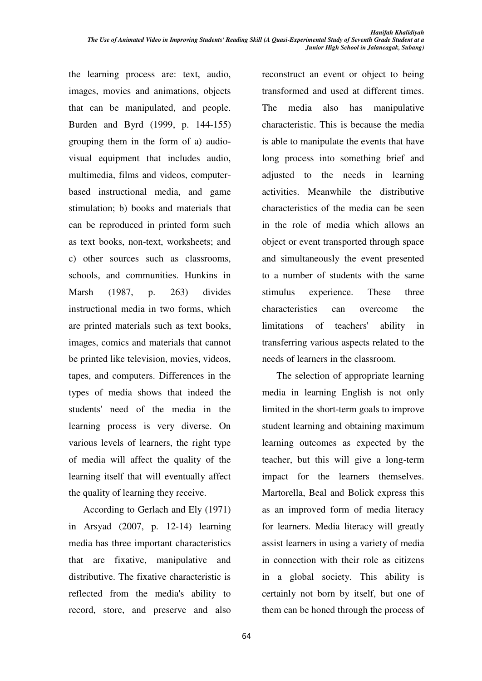the learning process are: text, audio, images, movies and animations, objects that can be manipulated, and people. Burden and Byrd (1999, p. 144-155) grouping them in the form of a) audiovisual equipment that includes audio, multimedia, films and videos, computerbased instructional media, and game stimulation; b) books and materials that can be reproduced in printed form such as text books, non-text, worksheets; and c) other sources such as classrooms, schools, and communities. Hunkins in Marsh (1987, p. 263) divides instructional media in two forms, which are printed materials such as text books, images, comics and materials that cannot be printed like television, movies, videos, tapes, and computers. Differences in the types of media shows that indeed the students' need of the media in the learning process is very diverse. On various levels of learners, the right type of media will affect the quality of the learning itself that will eventually affect the quality of learning they receive.

According to Gerlach and Ely (1971) in Arsyad (2007, p. 12-14) learning media has three important characteristics that are fixative, manipulative and distributive. The fixative characteristic is reflected from the media's ability to record, store, and preserve and also

reconstruct an event or object to being transformed and used at different times. The media also has manipulative characteristic. This is because the media is able to manipulate the events that have long process into something brief and adjusted to the needs in learning activities. Meanwhile the distributive characteristics of the media can be seen in the role of media which allows an object or event transported through space and simultaneously the event presented to a number of students with the same stimulus experience. These three characteristics can overcome the limitations of teachers' ability in transferring various aspects related to the needs of learners in the classroom.

The selection of appropriate learning media in learning English is not only limited in the short-term goals to improve student learning and obtaining maximum learning outcomes as expected by the teacher, but this will give a long-term impact for the learners themselves. Martorella, Beal and Bolick express this as an improved form of media literacy for learners. Media literacy will greatly assist learners in using a variety of media in connection with their role as citizens in a global society. This ability is certainly not born by itself, but one of them can be honed through the process of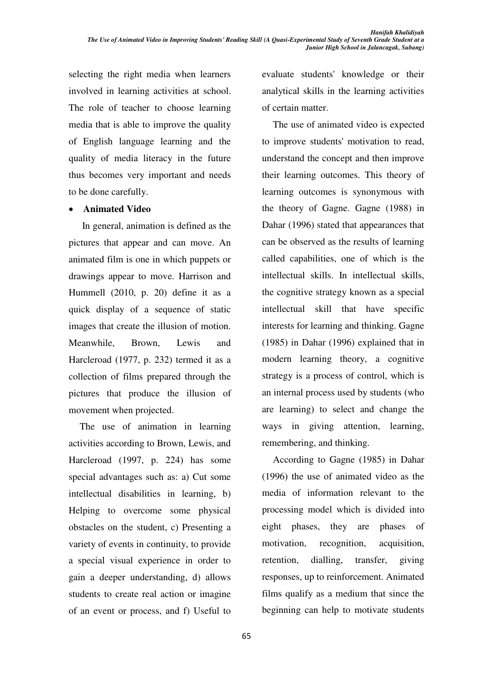selecting the right media when learners involved in learning activities at school. The role of teacher to choose learning media that is able to improve the quality of English language learning and the quality of media literacy in the future thus becomes very important and needs to be done carefully.

#### x **Animated Video**

 In general, animation is defined as the pictures that appear and can move. An animated film is one in which puppets or drawings appear to move. Harrison and Hummell (2010, p. 20) define it as a quick display of a sequence of static images that create the illusion of motion. Meanwhile, Brown, Lewis and Harcleroad (1977, p. 232) termed it as a collection of films prepared through the pictures that produce the illusion of movement when projected.

The use of animation in learning activities according to Brown, Lewis, and Harcleroad (1997, p. 224) has some special advantages such as: a) Cut some intellectual disabilities in learning, b) Helping to overcome some physical obstacles on the student, c) Presenting a variety of events in continuity, to provide a special visual experience in order to gain a deeper understanding, d) allows students to create real action or imagine of an event or process, and f) Useful to evaluate students' knowledge or their analytical skills in the learning activities of certain matter.

The use of animated video is expected to improve students' motivation to read, understand the concept and then improve their learning outcomes. This theory of learning outcomes is synonymous with the theory of Gagne. Gagne (1988) in Dahar (1996) stated that appearances that can be observed as the results of learning called capabilities, one of which is the intellectual skills. In intellectual skills, the cognitive strategy known as a special intellectual skill that have specific interests for learning and thinking. Gagne (1985) in Dahar (1996) explained that in modern learning theory, a cognitive strategy is a process of control, which is an internal process used by students (who are learning) to select and change the ways in giving attention, learning, remembering, and thinking.

According to Gagne (1985) in Dahar (1996) the use of animated video as the media of information relevant to the processing model which is divided into eight phases, they are phases of motivation, recognition, acquisition, retention, dialling, transfer, giving responses, up to reinforcement. Animated films qualify as a medium that since the beginning can help to motivate students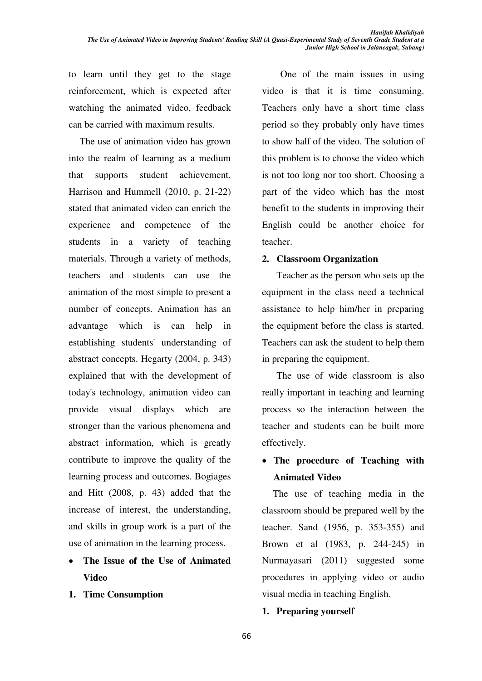to learn until they get to the stage reinforcement, which is expected after watching the animated video, feedback can be carried with maximum results.

The use of animation video has grown into the realm of learning as a medium that supports student achievement. Harrison and Hummell (2010, p. 21-22) stated that animated video can enrich the experience and competence of the students in a variety of teaching materials. Through a variety of methods, teachers and students can use the animation of the most simple to present a number of concepts. Animation has an advantage which is can help in establishing students' understanding of abstract concepts. Hegarty (2004, p. 343) explained that with the development of today's technology, animation video can provide visual displays which are stronger than the various phenomena and abstract information, which is greatly contribute to improve the quality of the learning process and outcomes. Bogiages and Hitt (2008, p. 43) added that the increase of interest, the understanding, and skills in group work is a part of the use of animation in the learning process.

- x **The Issue of the Use of Animated Video**
- **1. Time Consumption**

 One of the main issues in using video is that it is time consuming. Teachers only have a short time class period so they probably only have times to show half of the video. The solution of this problem is to choose the video which is not too long nor too short. Choosing a part of the video which has the most benefit to the students in improving their English could be another choice for teacher.

#### **2. Classroom Organization**

Teacher as the person who sets up the equipment in the class need a technical assistance to help him/her in preparing the equipment before the class is started. Teachers can ask the student to help them in preparing the equipment.

The use of wide classroom is also really important in teaching and learning process so the interaction between the teacher and students can be built more effectively.

# x **The procedure of Teaching with Animated Video**

The use of teaching media in the classroom should be prepared well by the teacher. Sand (1956, p. 353-355) and Brown et al (1983, p. 244-245) in Nurmayasari (2011) suggested some procedures in applying video or audio visual media in teaching English.

#### **1. Preparing yourself**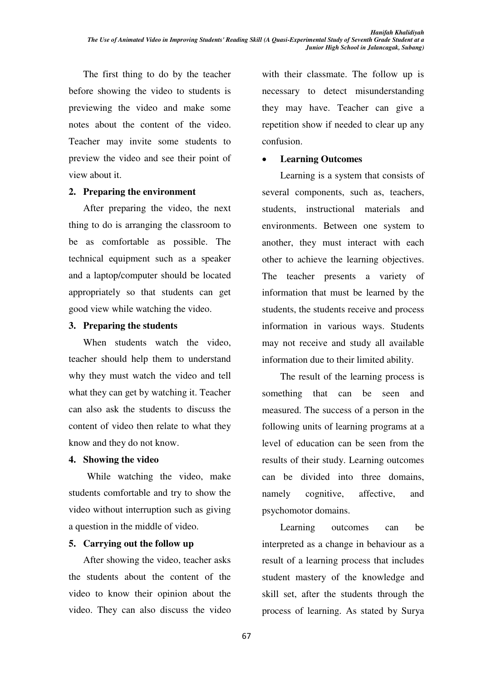The first thing to do by the teacher before showing the video to students is previewing the video and make some notes about the content of the video. Teacher may invite some students to preview the video and see their point of view about it.

#### **2. Preparing the environment**

 After preparing the video, the next thing to do is arranging the classroom to be as comfortable as possible. The technical equipment such as a speaker and a laptop/computer should be located appropriately so that students can get good view while watching the video.

#### **3. Preparing the students**

When students watch the video, teacher should help them to understand why they must watch the video and tell what they can get by watching it. Teacher can also ask the students to discuss the content of video then relate to what they know and they do not know.

#### **4. Showing the video**

 While watching the video, make students comfortable and try to show the video without interruption such as giving a question in the middle of video.

#### **5. Carrying out the follow up**

After showing the video, teacher asks the students about the content of the video to know their opinion about the video. They can also discuss the video with their classmate. The follow up is necessary to detect misunderstanding they may have. Teacher can give a repetition show if needed to clear up any confusion.

## x **Learning Outcomes**

Learning is a system that consists of several components, such as, teachers, students, instructional materials and environments. Between one system to another, they must interact with each other to achieve the learning objectives. The teacher presents a variety of information that must be learned by the students, the students receive and process information in various ways. Students may not receive and study all available information due to their limited ability.

The result of the learning process is something that can be seen and measured. The success of a person in the following units of learning programs at a level of education can be seen from the results of their study. Learning outcomes can be divided into three domains, namely cognitive, affective, and psychomotor domains.

Learning outcomes can be interpreted as a change in behaviour as a result of a learning process that includes student mastery of the knowledge and skill set, after the students through the process of learning. As stated by Surya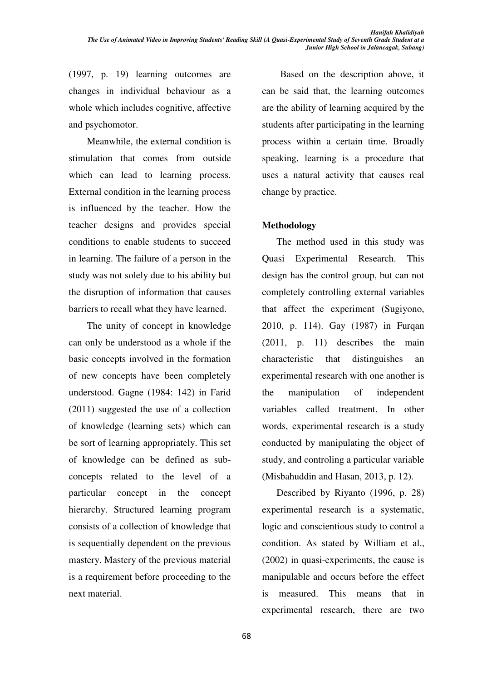(1997, p. 19) learning outcomes are changes in individual behaviour as a whole which includes cognitive, affective and psychomotor.

Meanwhile, the external condition is stimulation that comes from outside which can lead to learning process. External condition in the learning process is influenced by the teacher. How the teacher designs and provides special conditions to enable students to succeed in learning. The failure of a person in the study was not solely due to his ability but the disruption of information that causes barriers to recall what they have learned.

The unity of concept in knowledge can only be understood as a whole if the basic concepts involved in the formation of new concepts have been completely understood. Gagne (1984: 142) in Farid (2011) suggested the use of a collection of knowledge (learning sets) which can be sort of learning appropriately. This set of knowledge can be defined as subconcepts related to the level of a particular concept in the concept hierarchy. Structured learning program consists of a collection of knowledge that is sequentially dependent on the previous mastery. Mastery of the previous material is a requirement before proceeding to the next material.

Based on the description above, it can be said that, the learning outcomes are the ability of learning acquired by the students after participating in the learning process within a certain time. Broadly speaking, learning is a procedure that uses a natural activity that causes real change by practice.

## **Methodology**

 The method used in this study was Quasi Experimental Research. This design has the control group, but can not completely controlling external variables that affect the experiment (Sugiyono, 2010, p. 114). Gay (1987) in Furqan (2011, p. 11) describes the main characteristic that distinguishes an experimental research with one another is the manipulation of independent variables called treatment. In other words, experimental research is a study conducted by manipulating the object of study, and controling a particular variable (Misbahuddin and Hasan, 2013, p. 12).

 Described by Riyanto (1996, p. 28) experimental research is a systematic, logic and conscientious study to control a condition. As stated by William et al., (2002) in quasi-experiments, the cause is manipulable and occurs before the effect is measured. This means that in experimental research, there are two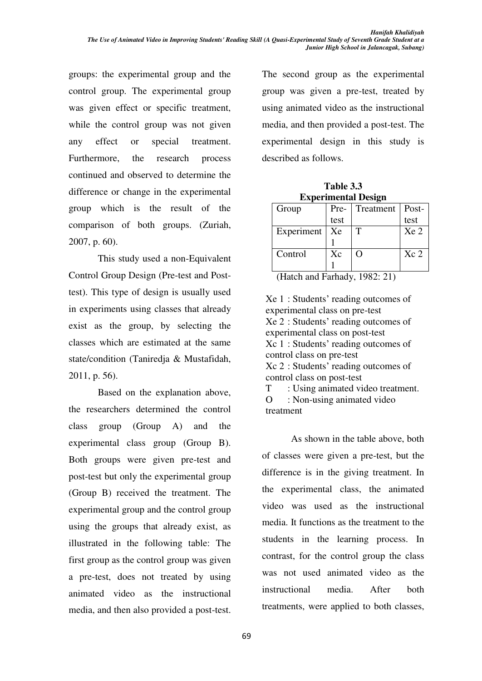groups: the experimental group and the control group. The experimental group was given effect or specific treatment, while the control group was not given any effect or special treatment. Furthermore, the research process continued and observed to determine the difference or change in the experimental group which is the result of the comparison of both groups. (Zuriah, 2007, p. 60).

This study used a non-Equivalent Control Group Design (Pre-test and Posttest). This type of design is usually used in experiments using classes that already exist as the group, by selecting the classes which are estimated at the same state/condition (Taniredia & Mustafidah, 2011, p. 56).

Based on the explanation above, the researchers determined the control class group (Group A) and the experimental class group (Group B). Both groups were given pre-test and post-test but only the experimental group (Group B) received the treatment. The experimental group and the control group using the groups that already exist, as illustrated in the following table: The first group as the control group was given a pre-test, does not treated by using animated video as the instructional media, and then also provided a post-test.

The second group as the experimental group was given a pre-test, treated by using animated video as the instructional media, and then provided a post-test. The experimental design in this study is described as follows.

| Table 3.3                  |
|----------------------------|
| <b>Experimental Design</b> |

| Group      | Pre- | Treatment   Post- |                 |
|------------|------|-------------------|-----------------|
|            | test |                   | test            |
| Experiment | Xe   | T                 | Xe 2            |
|            |      |                   |                 |
| Control    | Xc   | ∩                 | Xc <sub>2</sub> |
|            |      |                   |                 |

(Hatch and Farhady, 1982: 21)

Xe 1 : Students' reading outcomes of experimental class on pre-test Xe 2 : Students' reading outcomes of experimental class on post-test Xc 1 : Students' reading outcomes of control class on pre-test Xc 2 : Students' reading outcomes of control class on post-test

T : Using animated video treatment. O : Non-using animated video treatment

As shown in the table above, both of classes were given a pre-test, but the difference is in the giving treatment. In the experimental class, the animated video was used as the instructional media. It functions as the treatment to the students in the learning process. In contrast, for the control group the class was not used animated video as the instructional media. After both treatments, were applied to both classes,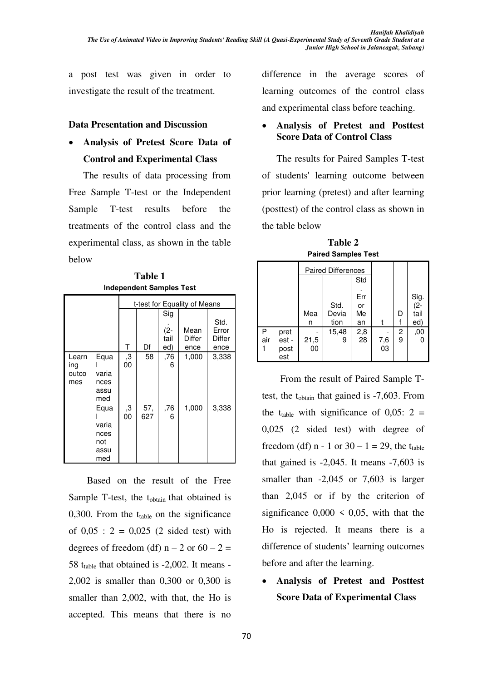a post test was given in order to investigate the result of the treatment.

#### **Data Presentation and Discussion**

x **Analysis of Pretest Score Data of Control and Experimental Class** 

The results of data processing from Free Sample T-test or the Independent Sample T-test results before the treatments of the control class and the experimental class, as shown in the table below

**Table 1 Independent Samples Test** 

|                              |                                             |          |            |                              | t-test for Equality of Means |                                 |
|------------------------------|---------------------------------------------|----------|------------|------------------------------|------------------------------|---------------------------------|
|                              |                                             | Τ        | Df         | Sig<br>$(2 -$<br>tail<br>ed) | Mean<br>Differ<br>ence       | Std.<br>Error<br>Differ<br>ence |
| Learn<br>ing<br>outco<br>mes | Equa<br>varia<br>nces<br>assu<br>med        | ,3<br>00 | 58         | ,76<br>6                     | 1,000                        | 3,338                           |
|                              | Equa<br>varia<br>nces<br>not<br>assu<br>med | З,<br>00 | 57,<br>627 | ,76<br>6                     | 1,000                        | 3,338                           |

Based on the result of the Free Sample T-test, the t<sub>obtain</sub> that obtained is 0,300. From the  $t_{table}$  on the significance of  $0.05$  :  $2 = 0.025$  (2 sided test) with degrees of freedom (df)  $n - 2$  or  $60 - 2 =$ 58  $t_{table}$  that obtained is -2,002. It means -2,002 is smaller than 0,300 or 0,300 is smaller than 2,002, with that, the Ho is accepted. This means that there is no

difference in the average scores of learning outcomes of the control class and experimental class before teaching.

## x **Analysis of Pretest and Posttest Score Data of Control Class**

The results for Paired Samples T-test of students' learning outcome between prior learning (pretest) and after learning (posttest) of the control class as shown in the table below

**Table 2 Paired Samples Test** 

|          |                              |            | <b>Paired Differences</b> |                       |               |        |                            |
|----------|------------------------------|------------|---------------------------|-----------------------|---------------|--------|----------------------------|
|          |                              |            |                           | Std                   |               |        |                            |
|          |                              | Mea<br>n   | Std.<br>Devia<br>tion     | Err<br>or<br>Me<br>an |               | D      | Sig.<br>(2-<br>tail<br>ed) |
| Ρ<br>air | pret<br>est -<br>post<br>est | 21,5<br>00 | 15,48<br>9                | 2,8<br>28             | $^{7,6}_{03}$ | 2<br>9 | ,00                        |

From the result of Paired Sample Ttest, the  $t_{\text{obtain}}$  that gained is -7,603. From the t<sub>table</sub> with significance of  $0.05: 2 =$ 0,025 (2 sided test) with degree of freedom (df) n - 1 or  $30 - 1 = 29$ , the t<sub>table</sub> that gained is  $-2,045$ . It means  $-7,603$  is smaller than  $-2,045$  or 7,603 is larger than 2,045 or if by the criterion of significance  $0,000 \le 0,05$ , with that the Ho is rejected. It means there is a difference of students' learning outcomes before and after the learning.

x **Analysis of Pretest and Posttest Score Data of Experimental Class**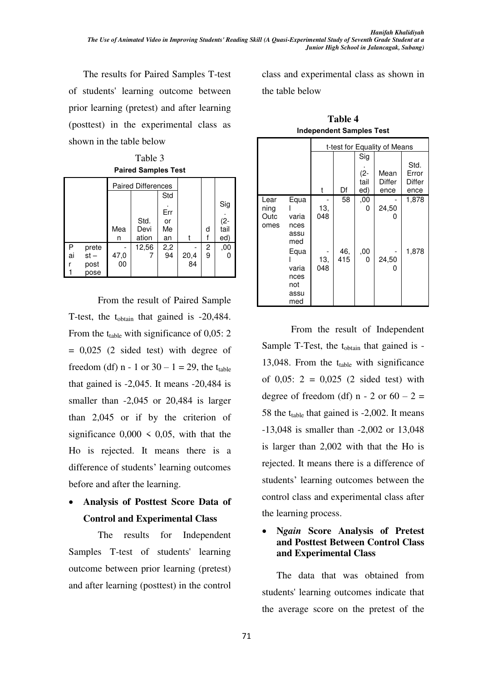The results for Paired Samples T-test of students' learning outcome between prior learning (pretest) and after learning (posttest) in the experimental class as shown in the table below

Table 3 **Paired Samples Test** 

|         |                                 |                                           | <b>Paired Differences</b> |                              |            |        |                                |
|---------|---------------------------------|-------------------------------------------|---------------------------|------------------------------|------------|--------|--------------------------------|
|         |                                 | Mea<br>n                                  | Std.<br>Devi<br>ation     | Std<br>Err<br>or<br>Me<br>an |            | d      | Sig<br>.<br>(2-<br>tail<br>ed) |
| P<br>ai | prete<br>$st -$<br>post<br>pose | $\begin{array}{c} 47,0 \\ 00 \end{array}$ | 12,56                     | $^{2,2}_{94}$                | 20,4<br>84 | 2<br>9 | ,00                            |

From the result of Paired Sample T-test, the t<sub>obtain</sub> that gained is -20,484. From the  $t_{table}$  with significance of 0,05: 2  $= 0.025$  (2 sided test) with degree of freedom (df) n - 1 or  $30 - 1 = 29$ , the t<sub>table</sub> that gained is  $-2,045$ . It means  $-20,484$  is smaller than -2,045 or 20,484 is larger than 2,045 or if by the criterion of significance  $0,000 \le 0,05$ , with that the Ho is rejected. It means there is a difference of students' learning outcomes before and after the learning.

# x **Analysis of Posttest Score Data of Control and Experimental Class**

The results for Independent Samples T-test of students' learning outcome between prior learning (pretest) and after learning (posttest) in the control

class and experimental class as shown in the table below

|                              |                                             |            |            |                              | t-test for Equality of Means |                                 |
|------------------------------|---------------------------------------------|------------|------------|------------------------------|------------------------------|---------------------------------|
|                              |                                             | t          | Df         | Sig<br>$(2 -$<br>tail<br>ed) | Mean<br>Differ<br>ence       | Std.<br>Error<br>Differ<br>ence |
| Lear<br>ning<br>Outc<br>omes | Equa<br>varia<br>nces<br>assu<br>med        | 13,<br>048 | 58         | ,00<br>0                     | 24,50<br>0                   | 1,878                           |
|                              | Equa<br>varia<br>nces<br>not<br>assu<br>med | 13,<br>048 | 46,<br>415 | ,00<br>0                     | 24,50<br>O)                  | 1,878                           |

**Table 4 Independent Samples Test** 

From the result of Independent Sample T-Test, the  $t_{obtain}$  that gained is -13,048. From the  $t_{table}$  with significance of  $0,05$ :  $2 = 0,025$  (2 sided test) with degree of freedom (df)  $n - 2$  or  $60 - 2 =$ 58 the  $t_{table}$  that gained is -2,002. It means -13,048 is smaller than -2,002 or 13,048 is larger than 2,002 with that the Ho is rejected. It means there is a difference of students' learning outcomes between the control class and experimental class after the learning process.

## x **N***gain* **Score Analysis of Pretest and Posttest Between Control Class and Experimental Class**

The data that was obtained from students' learning outcomes indicate that the average score on the pretest of the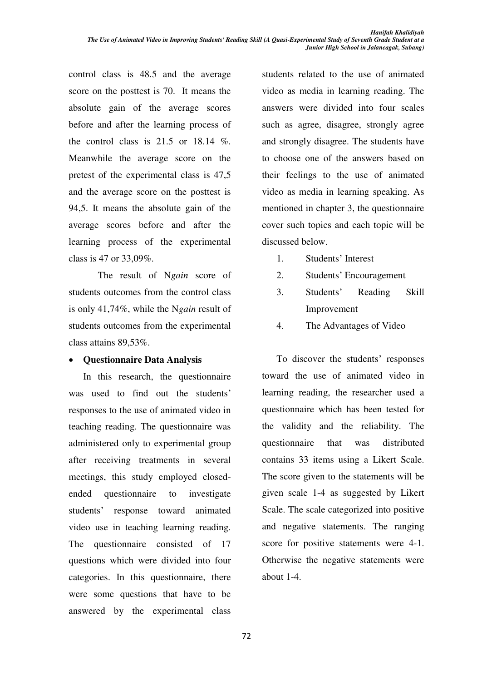control class is 48.5 and the average score on the posttest is 70. It means the absolute gain of the average scores before and after the learning process of the control class is  $21.5$  or  $18.14$  %. Meanwhile the average score on the pretest of the experimental class is 47,5 and the average score on the posttest is 94,5. It means the absolute gain of the average scores before and after the learning process of the experimental class is 47 or 33,09%.

The result of N*gain* score of students outcomes from the control class is only 41,74%, while the N*gain* result of students outcomes from the experimental class attains 89,53%.

#### x **Questionnaire Data Analysis**

In this research, the questionnaire was used to find out the students' responses to the use of animated video in teaching reading. The questionnaire was administered only to experimental group after receiving treatments in several meetings, this study employed closedended questionnaire to investigate students' response toward animated video use in teaching learning reading. The questionnaire consisted of 17 questions which were divided into four categories. In this questionnaire, there were some questions that have to be answered by the experimental class

students related to the use of animated video as media in learning reading. The answers were divided into four scales such as agree, disagree, strongly agree and strongly disagree. The students have to choose one of the answers based on their feelings to the use of animated video as media in learning speaking. As mentioned in chapter 3, the questionnaire cover such topics and each topic will be discussed below.

- 1. Students' Interest
- 2. Students' Encouragement
- 3. Students' Reading Skill Improvement
- 4. The Advantages of Video

To discover the students' responses toward the use of animated video in learning reading, the researcher used a questionnaire which has been tested for the validity and the reliability. The questionnaire that was distributed contains 33 items using a Likert Scale. The score given to the statements will be given scale 1-4 as suggested by Likert Scale. The scale categorized into positive and negative statements. The ranging score for positive statements were 4-1. Otherwise the negative statements were about 1-4.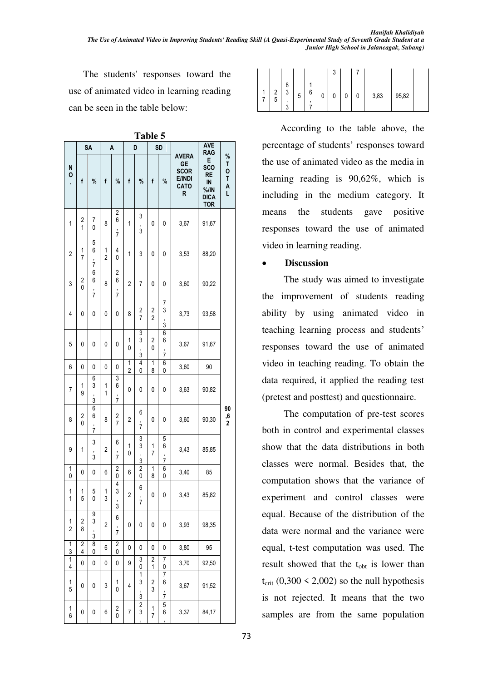The students' responses toward the use of animated video in learning reading can be seen in the table below:

|                         |                              | <b>SA</b>               |                         | A                                         |                     | D                            |                     | SD                      |                                                                 | <b>AVE</b><br><b>RAG</b>                                                              |                                        |
|-------------------------|------------------------------|-------------------------|-------------------------|-------------------------------------------|---------------------|------------------------------|---------------------|-------------------------|-----------------------------------------------------------------|---------------------------------------------------------------------------------------|----------------------------------------|
| N<br>О<br>¥,            | f                            | $\%$                    | f                       | %                                         | f                   | %                            | f                   | %                       | <b>AVERA</b><br><b>GE</b><br><b>SCOR</b><br>E/INDI<br>CATO<br>R | E<br><b>SCO</b><br><b>RE</b><br>$\mathsf{IN}$<br>$%$ /IN<br><b>DICA</b><br><b>TOR</b> | $\frac{9}{6}$<br>т<br>0<br>T<br>A<br>L |
| 1                       | 2<br>1                       | 7<br>0                  | 8                       | $\overline{\mathbf{c}}$<br>6<br>;<br>7    | 1                   | 3<br>J<br>3                  | 0                   | 0                       | 3,67                                                            | 91,67                                                                                 |                                        |
| $\overline{\mathbf{c}}$ | 1<br>7                       | 5<br>6<br>,<br>7        | 1<br>$\overline{c}$     | 4<br>0                                    | 1                   | 3                            | 0                   | 0                       | 3,53                                                            | 88,20                                                                                 |                                        |
| 3                       | 2<br>0                       | 6<br>6<br>,<br>7        | 8                       | 2<br>6<br>J<br>7                          | 2                   | 7                            | 0                   | 0                       | 3,60                                                            | 90,22                                                                                 |                                        |
| 4                       | 0                            | 0                       | 0                       | 0                                         | 8                   | 2<br>7                       | 2<br>$\overline{2}$ | 7<br>3<br>$\frac{1}{3}$ | 3,73                                                            | 93,58                                                                                 |                                        |
| 5                       | 0                            | 0                       | 0                       | 0                                         | 1<br>0              | 3<br>3<br>$\frac{1}{3}$      | 2<br>0              | 6<br>6<br>$\frac{1}{7}$ | 3,67                                                            | 91,67                                                                                 |                                        |
| 6                       | 0                            | 0                       | 0                       | 0                                         | 1<br>$\overline{c}$ | 4<br>0                       | 1<br>8              | 6<br>0                  | 3,60                                                            | 90                                                                                    |                                        |
| 7                       | 1<br>9                       | 6<br>3<br>,<br>3        | 1<br>1                  | 3<br>6<br>$\,$<br>7                       | 0                   | 0                            | 0                   | 0                       | 3,63                                                            | 90,82                                                                                 |                                        |
| 8                       | $\overline{\mathbf{c}}$<br>0 | 6<br>6<br>,<br>7        | 8                       | $\overline{\mathbf{c}}$<br>$\overline{7}$ | 2                   | 6<br>$\,$<br>7               | 0                   | 0                       | 3,60                                                            | 90,30                                                                                 | 90<br>$\frac{1}{2}$                    |
| 9                       | 1                            | 3<br>$\frac{1}{3}$      | 2                       | 6<br>$\frac{1}{7}$                        | 1<br>0              | 3<br>3<br>J<br>3             | 1<br>7              | 5<br>6<br>,<br>7        | 3,43                                                            | 85,85                                                                                 |                                        |
| 1<br>0                  | 0                            | 0                       | 6                       | 2<br>0                                    | 6                   | 2<br>0                       | 1<br>8              | 6<br>0                  | 3,40                                                            | 85                                                                                    |                                        |
| 1<br>1                  | 1<br>5                       | 5<br>0                  | 1<br>3                  | 4<br>3<br>,<br>3                          | 2                   | 6<br>$\,$<br>7               | 0                   | 0                       | 3,43                                                            | 85,82                                                                                 |                                        |
| 1<br>$\overline{2}$     | 2<br>8                       | 9<br>3<br>$\frac{1}{3}$ | $\overline{\mathbf{c}}$ | 6<br>$\frac{1}{7}$                        | 0                   | 0                            | 0                   | 0                       | 3,93                                                            | 98,35                                                                                 |                                        |
| 1<br>$\overline{3}$     | $\overline{\mathbf{2}}$<br>4 | 8<br>0                  | 6                       | $\overline{2}$<br>0                       | 0                   | 0                            | 0                   | 0                       | 3,80                                                            | 95                                                                                    |                                        |
| $\overline{1}$<br>4     | 0                            | 0                       | 0                       | 0                                         | 9                   | 3<br>0                       | $\overline{2}$<br>1 | 7<br>0                  | 3,70                                                            | 92,50                                                                                 |                                        |
| 1<br>5                  | 0                            | 0                       | 3                       | 1<br>$\mathbf 0$                          | 4                   | 1<br>3<br>$\frac{1}{3}$      | 2<br>3              | 7<br>6<br>$\frac{1}{7}$ | 3,67                                                            | 91,52                                                                                 |                                        |
| $\mathbf{1}$<br>6       | 0                            | 0                       | 6                       | $\begin{matrix} 2 \\ 0 \end{matrix}$      | 7                   | $\overline{\mathbf{c}}$<br>3 | 1<br>7              | 5<br>6                  | 3,37                                                            | 84,17                                                                                 |                                        |

**Table 5** 

|                 |                  |   |   |   | ર<br>J |   |   |      |       |
|-----------------|------------------|---|---|---|--------|---|---|------|-------|
| $\sqrt{2}$<br>5 | 8<br>C<br>u<br>r | 5 | 6 | 0 | 0      | U | 0 | 3,83 | 95,82 |

According to the table above, the percentage of students' responses toward the use of animated video as the media in learning reading is 90,62%, which is including in the medium category. It means the students gave positive responses toward the use of animated video in learning reading.

#### **Discussion**

The study was aimed to investigate the improvement of students reading ability by using animated video in teaching learning process and students' responses toward the use of animated video in teaching reading. To obtain the data required, it applied the reading test (pretest and posttest) and questionnaire.

The computation of pre-test scores both in control and experimental classes show that the data distributions in both classes were normal. Besides that, the computation shows that the variance of experiment and control classes were equal. Because of the distribution of the data were normal and the variance were equal, t-test computation was used. The result showed that the  $t_{\text{obt}}$  is lower than  $t_{\text{crit}}$  (0,300 < 2,002) so the null hypothesis is not rejected. It means that the two samples are from the same population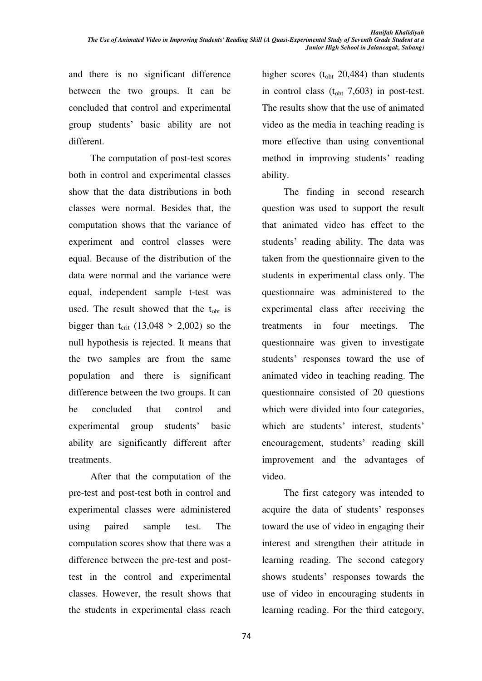and there is no significant difference between the two groups. It can be concluded that control and experimental group students¶ basic ability are not different.

The computation of post-test scores both in control and experimental classes show that the data distributions in both classes were normal. Besides that, the computation shows that the variance of experiment and control classes were equal. Because of the distribution of the data were normal and the variance were equal, independent sample t-test was used. The result showed that the  $t_{\rm obt}$  is bigger than  $t_{\text{crit}}$  (13,048 > 2,002) so the null hypothesis is rejected. It means that the two samples are from the same population and there is significant difference between the two groups. It can be concluded that control and experimental group students' basic ability are significantly different after treatments.

After that the computation of the pre-test and post-test both in control and experimental classes were administered using paired sample test. The computation scores show that there was a difference between the pre-test and posttest in the control and experimental classes. However, the result shows that the students in experimental class reach higher scores  $(t_{\text{obt}} 20,484)$  than students in control class  $(t_{\text{obt}} 7,603)$  in post-test. The results show that the use of animated video as the media in teaching reading is more effective than using conventional method in improving students' reading ability.

The finding in second research question was used to support the result that animated video has effect to the students' reading ability. The data was taken from the questionnaire given to the students in experimental class only. The questionnaire was administered to the experimental class after receiving the treatments in four meetings. The questionnaire was given to investigate students' responses toward the use of animated video in teaching reading. The questionnaire consisted of 20 questions which were divided into four categories, which are students' interest, students' encouragement, students' reading skill improvement and the advantages of video.

The first category was intended to acquire the data of students' responses toward the use of video in engaging their interest and strengthen their attitude in learning reading. The second category shows students' responses towards the use of video in encouraging students in learning reading. For the third category,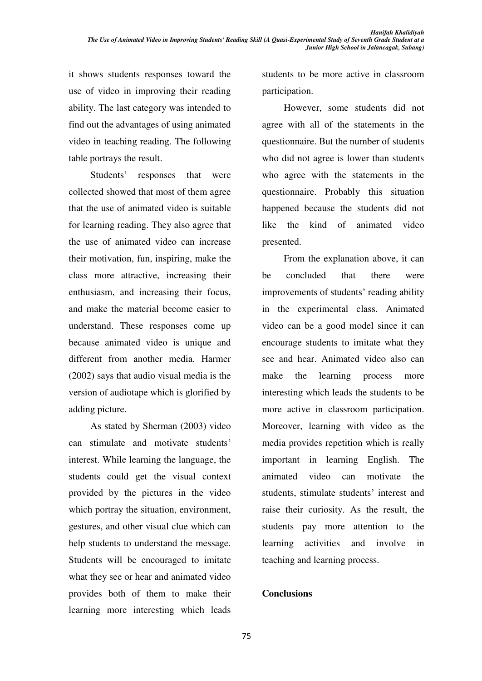it shows students responses toward the use of video in improving their reading ability. The last category was intended to find out the advantages of using animated video in teaching reading. The following table portrays the result.

Students' responses that were collected showed that most of them agree that the use of animated video is suitable for learning reading. They also agree that the use of animated video can increase their motivation, fun, inspiring, make the class more attractive, increasing their enthusiasm, and increasing their focus, and make the material become easier to understand. These responses come up because animated video is unique and different from another media. Harmer (2002) says that audio visual media is the version of audiotape which is glorified by adding picture.

As stated by Sherman (2003) video can stimulate and motivate students' interest. While learning the language, the students could get the visual context provided by the pictures in the video which portray the situation, environment, gestures, and other visual clue which can help students to understand the message. Students will be encouraged to imitate what they see or hear and animated video provides both of them to make their learning more interesting which leads

students to be more active in classroom participation.

However, some students did not agree with all of the statements in the questionnaire. But the number of students who did not agree is lower than students who agree with the statements in the questionnaire. Probably this situation happened because the students did not like the kind of animated video presented.

From the explanation above, it can be concluded that there were improvements of students' reading ability in the experimental class. Animated video can be a good model since it can encourage students to imitate what they see and hear. Animated video also can make the learning process more interesting which leads the students to be more active in classroom participation. Moreover, learning with video as the media provides repetition which is really important in learning English. The animated video can motivate the students, stimulate students' interest and raise their curiosity. As the result, the students pay more attention to the learning activities and involve in teaching and learning process.

#### **Conclusions**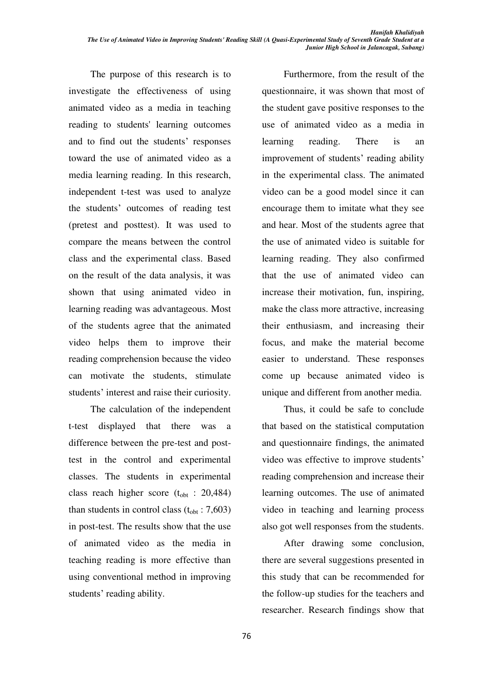The purpose of this research is to investigate the effectiveness of using animated video as a media in teaching reading to students' learning outcomes and to find out the students' responses toward the use of animated video as a media learning reading. In this research, independent t-test was used to analyze the students' outcomes of reading test (pretest and posttest). It was used to compare the means between the control class and the experimental class. Based on the result of the data analysis, it was shown that using animated video in learning reading was advantageous. Most of the students agree that the animated video helps them to improve their reading comprehension because the video can motivate the students, stimulate students' interest and raise their curiosity.

The calculation of the independent t-test displayed that there was a difference between the pre-test and posttest in the control and experimental classes. The students in experimental class reach higher score ( $t_{\text{obt}}$  : 20,484) than students in control class  $(t_{\text{obt}} : 7,603)$ in post-test. The results show that the use of animated video as the media in teaching reading is more effective than using conventional method in improving students' reading ability.

Furthermore, from the result of the questionnaire, it was shown that most of the student gave positive responses to the use of animated video as a media in learning reading. There is an improvement of students' reading ability in the experimental class. The animated video can be a good model since it can encourage them to imitate what they see and hear. Most of the students agree that the use of animated video is suitable for learning reading. They also confirmed that the use of animated video can increase their motivation, fun, inspiring, make the class more attractive, increasing their enthusiasm, and increasing their focus, and make the material become easier to understand. These responses come up because animated video is unique and different from another media.

Thus, it could be safe to conclude that based on the statistical computation and questionnaire findings, the animated video was effective to improve students' reading comprehension and increase their learning outcomes. The use of animated video in teaching and learning process also got well responses from the students.

After drawing some conclusion, there are several suggestions presented in this study that can be recommended for the follow-up studies for the teachers and researcher. Research findings show that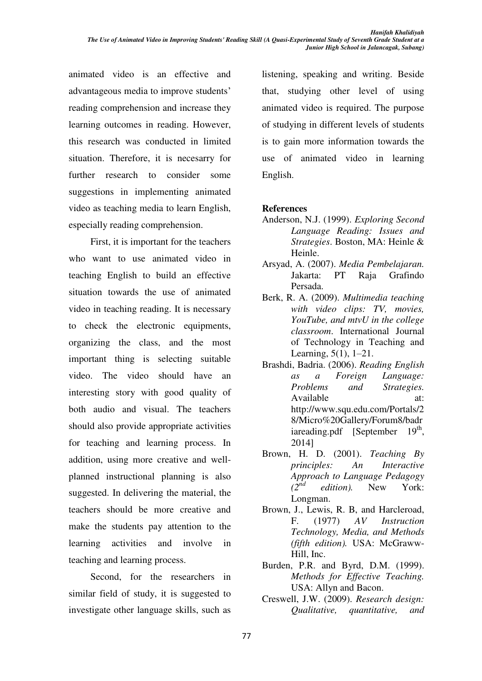animated video is an effective and advantageous media to improve students' reading comprehension and increase they learning outcomes in reading. However, this research was conducted in limited situation. Therefore, it is necesarry for further research to consider some suggestions in implementing animated video as teaching media to learn English, especially reading comprehension.

First, it is important for the teachers who want to use animated video in teaching English to build an effective situation towards the use of animated video in teaching reading. It is necessary to check the electronic equipments, organizing the class, and the most important thing is selecting suitable video. The video should have an interesting story with good quality of both audio and visual. The teachers should also provide appropriate activities for teaching and learning process. In addition, using more creative and wellplanned instructional planning is also suggested. In delivering the material, the teachers should be more creative and make the students pay attention to the learning activities and involve in teaching and learning process.

Second, for the researchers in similar field of study, it is suggested to investigate other language skills, such as listening, speaking and writing. Beside that, studying other level of using animated video is required. The purpose of studying in different levels of students is to gain more information towards the use of animated video in learning English.

#### **References**

- Anderson, N.J. (1999). *Exploring Second Language Reading: Issues and Strategies*. Boston, MA: Heinle & Heinle.
- Arsyad, A. (2007). *Media Pembelajaran.*  Jakarta: PT Raja Grafindo Persada.
- Berk, R. A. (2009). *Multimedia teaching with video clips: TV, movies, YouTube, and mtvU in the college classroom*. International Journal of Technology in Teaching and Learning,  $5(1)$ ,  $1-21$ .
- Brashdi, Badria. (2006). *Reading English as a Foreign Language: Problems and Strategies.* Available at: http://www.squ.edu.com/Portals/2 8/Micro%20Gallery/Forum8/badr iareading.pdf [September 19<sup>th</sup>, 2014]
- Brown, H. D. (2001). *Teaching By principles: An Interactive Approach to Language Pedagogy edition*). New York: Longman.
- Brown, J., Lewis, R. B, and Harcleroad, F. (1977) *AV Instruction Technology, Media, and Methods (fifth edition).* USA: McGraww-Hill, Inc.
- Burden, P.R. and Byrd, D.M. (1999). *Methods for Effective Teaching.* USA: Allyn and Bacon.
- Creswell, J.W. (2009). *Research design: Qualitative, quantitative, and*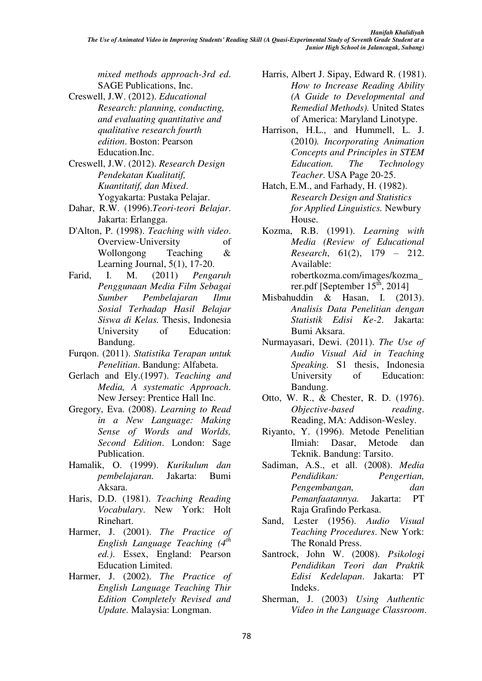*mixed methods approach-3rd ed*. SAGE Publications, Inc.

- Creswell, J.W. (2012). *Educational Research: planning, conducting, and evaluating quantitative and qualitative research fourth edition*. Boston: Pearson Education.Inc.
- Creswell, J.W. (2012). *Research Design Pendekatan Kualitatif, Kuantitatif, dan Mixed*. Yogyakarta: Pustaka Pelajar.
- Dahar, R.W. (1996).*Teori-teori Belajar*. Jakarta: Erlangga.
- D'Alton, P. (1998). *Teaching with video*. Overview-University of Wollongong Teaching & Learning Journal, 5(1), 17-20.
- Farid, I. M. (2011) *Pengaruh Penggunaan Media Film Sebagai Sumber Pembelajaran Ilmu Sosial Terhadap Hasil Belajar Siswa di Kelas.* Thesis, Indonesia University of Education: Bandung.
- Furqon. (2011). *Statistika Terapan untuk Penelitian*. Bandung: Alfabeta.
- Gerlach and Ely.(1997). *Teaching and Media, A systematic Approach*. New Jersey: Prentice Hall Inc.
- Gregory, Eva. (2008). *Learning to Read in a New Language: Making Sense of Words and Worlds, Second Edition*. London: Sage Publication.
- Hamalik, O. (1999). *Kurikulum dan pembelajaran.* Jakarta: Bumi Aksara.
- Haris, D.D. (1981). *Teaching Reading Vocabulary*. New York: Holt Rinehart.
- Harmer, J. (2001). *The Practice of English Language Teaching (4th ed.)*. Essex, England: Pearson Education Limited.
- Harmer, J. (2002). *The Practice of English Language Teaching Thir Edition Completely Revised and Update.* Malaysia: Longman.
- Harris, Albert J. Sipay, Edward R. (1981). *How to Increase Reading Ability (A Guide to Developmental and Remedial Methods).* United States of America: Maryland Linotype.
- Harrison, H.L., and Hummell, L. J. (2010*). Incorporating Animation Concepts and Principles in STEM Education. The Technology Teacher*. USA Page 20-25.
- Hatch, E.M., and Farhady, H. (1982). *Research Design and Statistics for Applied Linguistics.* Newbury House.
- Kozma, R.B. (1991). *Learning with Media (Review of Educational Research,* 61(2), 179 – 212. Available: robertkozma.com/images/kozma\_ rer.pdf [September  $15^{\text{th}}$ , 2014]
- Misbahuddin & Hasan, I. (2013). *Analisis Data Penelitian dengan Statistik Edisi Ke-2*. Jakarta: Bumi Aksara.
- Nurmayasari, Dewi. (2011). *The Use of Audio Visual Aid in Teaching Speaking.* S1 thesis, Indonesia University of Education: Bandung.
- Otto, W. R., & Chester, R. D. (1976). *Objective-based reading.* Reading, MA: Addison-Wesley.
- Riyanto, Y. (1996). Metode Penelitian Ilmiah: Dasar, Metode dan Teknik. Bandung: Tarsito.
- Sadiman, A.S., et all. (2008). *Media Pendidikan: Pengertian, Pengembangan, dan Pemanfaatannya.* Jakarta: PT Raja Grafindo Perkasa.
- Sand, Lester (1956). *Audio Visual Teaching Procedures*. New York: The Ronald Press.
- Santrock, John W. (2008). *Psikologi Pendidikan Teori dan Praktik Edisi Kedelapan*. Jakarta: PT Indeks.
- Sherman, J. (2003) *Using Authentic Video in the Language Classroom*.